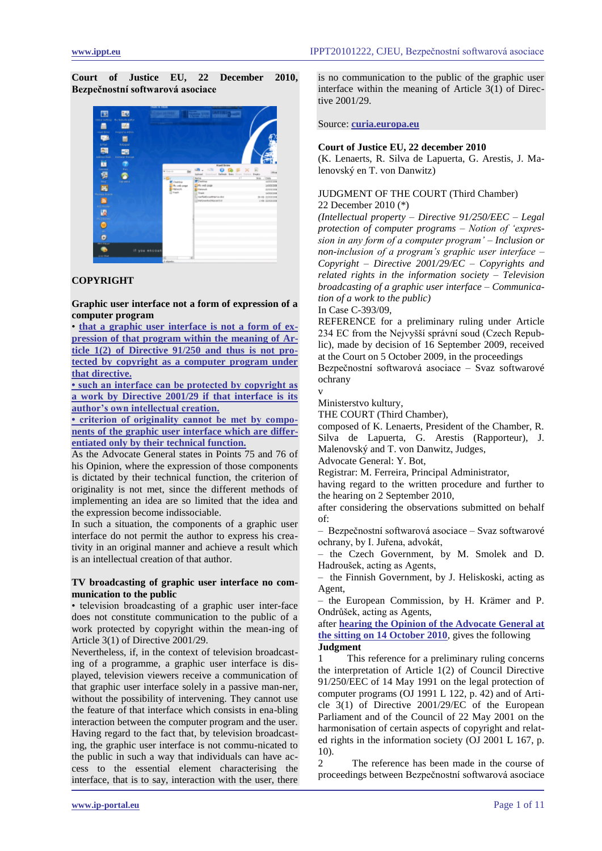**Court of Justice EU, 22 December 2010, Bezpečnostní softwarová asociace**



# **COPYRIGHT**

**Graphic user interface not a form of expression of a computer program**

• **[that a graphic user interface is not a form of ex](#page-4-0)[pression of that program within the meaning of](#page-4-0) Ar[ticle 1\(2\) of Directive 91/250 and thus is not pro](#page-4-0)[tected by copyright as a computer program under](#page-4-0)  [that directive.](#page-4-0)**

**[• such an interface can be protected by copyright as](#page-4-0)  [a work by Directive 2001/29 if that interface is its](#page-4-0)  [author's own intellectual creation.](#page-4-0)**

**[• criterion of originality cannot be met by compo](#page-4-0)[nents of the graphic user interface which are differ](#page-4-0)[entiated only by their technical function.](#page-4-0)**

As the Advocate General states in Points 75 and 76 of his Opinion, where the expression of those components is dictated by their technical function, the criterion of originality is not met, since the different methods of implementing an idea are so limited that the idea and the expression become indissociable.

In such a situation, the components of a graphic user interface do not permit the author to express his creativity in an original manner and achieve a result which is an intellectual creation of that author.

### **TV broadcasting of graphic user interface no communication to the public**

• television broadcasting of a graphic user inter-face does not constitute communication to the public of a work protected by copyright within the mean-ing of Article 3(1) of Directive 2001/29.

Nevertheless, if, in the context of television broadcasting of a programme, a graphic user interface is displayed, television viewers receive a communication of that graphic user interface solely in a passive man-ner, without the possibility of intervening. They cannot use the feature of that interface which consists in ena-bling interaction between the computer program and the user. Having regard to the fact that, by television broadcasting, the graphic user interface is not commu-nicated to the public in such a way that individuals can have access to the essential element characterising the interface, that is to say, interaction with the user, there

is no communication to the public of the graphic user interface within the meaning of Article 3(1) of Directive 2001/29.

Source: **[curia.europa.eu](http://curia.europa.eu/jurisp/cgi-bin/form.pl?lang=en&jurcdj=jurcdj&numaff=C-393/09%20&nomusuel=&docnodecision=docnodecision&allcommjo=allcommjo&affint=affint&affclose=affclose&alldocrec=alldocrec&docor=docor&docav=docav&docsom=docsom&docinf=docinf&alldocn)**

#### **Court of Justice EU, 22 december 2010**

(K. Lenaerts, R. Silva de Lapuerta, G. Arestis, J. Malenovský en T. von Danwitz)

## JUDGMENT OF THE COURT (Third Chamber) 22 December 2010 (\*)

*(Intellectual property – Directive 91/250/EEC – Legal protection of computer programs – Notion of 'expression in any form of a computer program' – Inclusion or non-inclusion of a program's graphic user interface – Copyright – Directive 2001/29/EC – Copyrights and related rights in the information society – Television broadcasting of a graphic user interface – Communication of a work to the public)*

In Case C-393/09,

REFERENCE for a preliminary ruling under Article 234 EC from the Nejvyšší správní soud (Czech Republic), made by decision of 16 September 2009, received at the Court on 5 October 2009, in the proceedings

Bezpečnostní softwarová asociace – Svaz softwarové ochrany

v

Ministerstvo kultury,

THE COURT (Third Chamber),

composed of K. Lenaerts, President of the Chamber, R. Silva de Lapuerta, G. Arestis (Rapporteur), J. Malenovský and T. von Danwitz, Judges,

Advocate General: Y. Bot,

Registrar: M. Ferreira, Principal Administrator,

having regard to the written procedure and further to the hearing on 2 September 2010,

after considering the observations submitted on behalf of:

– Bezpečnostní softwarová asociace – Svaz softwarové ochrany, by I. Juřena, advokát,

– the Czech Government, by M. Smolek and D. Hadroušek, acting as Agents,

– the Finnish Government, by J. Heliskoski, acting as Agent,

– the European Commission, by H. Krämer and P. Ondrůšek, acting as Agents,

after **[hearing the Opinion of the Advocate General at](#page-4-1)  [the sitting on 14 October 2010](#page-4-1)**, gives the following **Judgment** 

This reference for a preliminary ruling concerns the interpretation of Article 1(2) of Council Directive 91/250/EEC of 14 May 1991 on the legal protection of computer programs (OJ 1991 L 122, p. 42) and of Article 3(1) of Directive 2001/29/EC of the European Parliament and of the Council of 22 May 2001 on the harmonisation of certain aspects of copyright and related rights in the information society (OJ 2001 L 167, p. 10).

2 The reference has been made in the course of proceedings between Bezpečnostní softwarová asociace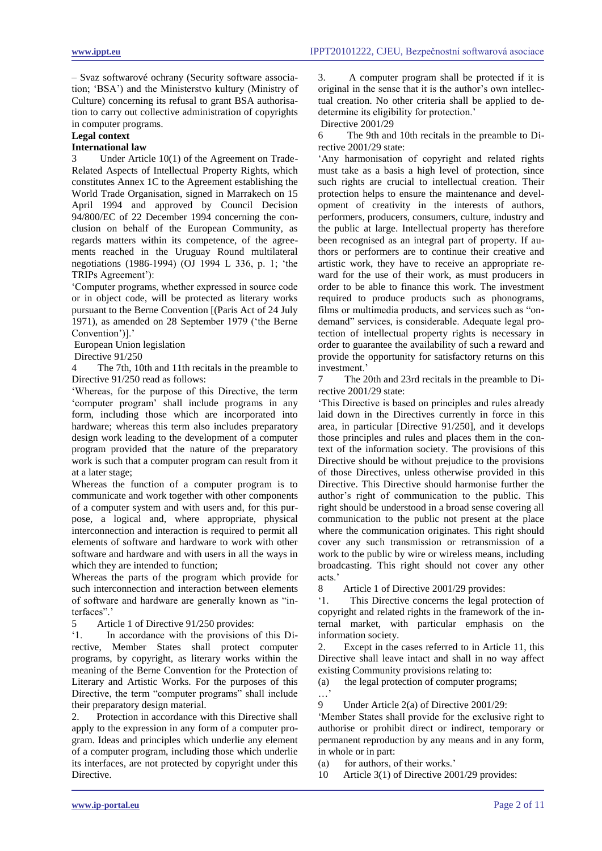– Svaz softwarové ochrany (Security software association; 'BSA') and the Ministerstvo kultury (Ministry of Culture) concerning its refusal to grant BSA authorisation to carry out collective administration of copyrights in computer programs.

### **Legal context**

### **International law**

Under Article  $10(1)$  of the Agreement on Trade-Related Aspects of Intellectual Property Rights, which constitutes Annex 1C to the Agreement establishing the World Trade Organisation, signed in Marrakech on 15 April 1994 and approved by Council Decision 94/800/EC of 22 December 1994 concerning the conclusion on behalf of the European Community, as regards matters within its competence, of the agreements reached in the Uruguay Round multilateral negotiations (1986-1994) (OJ 1994 L 336, p. 1; 'the TRIPs Agreement'):

'Computer programs, whether expressed in source code or in object code, will be protected as literary works pursuant to the Berne Convention [(Paris Act of 24 July 1971), as amended on 28 September 1979 ('the Berne Convention')].'

European Union legislation

Directive 91/250

4 The 7th, 10th and 11th recitals in the preamble to Directive 91/250 read as follows:

'Whereas, for the purpose of this Directive, the term 'computer program' shall include programs in any form, including those which are incorporated into hardware; whereas this term also includes preparatory design work leading to the development of a computer program provided that the nature of the preparatory work is such that a computer program can result from it at a later stage;

Whereas the function of a computer program is to communicate and work together with other components of a computer system and with users and, for this purpose, a logical and, where appropriate, physical interconnection and interaction is required to permit all elements of software and hardware to work with other software and hardware and with users in all the ways in which they are intended to function;

Whereas the parts of the program which provide for such interconnection and interaction between elements of software and hardware are generally known as "interfaces".'

5 Article 1 of Directive 91/250 provides:<br>
'1. In accordance with the provisions of In accordance with the provisions of this Directive, Member States shall protect computer programs, by copyright, as literary works within the meaning of the Berne Convention for the Protection of Literary and Artistic Works. For the purposes of this Directive, the term "computer programs" shall include their preparatory design material.

2. Protection in accordance with this Directive shall apply to the expression in any form of a computer program. Ideas and principles which underlie any element of a computer program, including those which underlie its interfaces, are not protected by copyright under this Directive.

3. A computer program shall be protected if it is original in the sense that it is the author's own intellectual creation. No other criteria shall be applied to dedetermine its eligibility for protection.'

Directive 2001/29

6 The 9th and 10th recitals in the preamble to Directive 2001/29 state:

'Any harmonisation of copyright and related rights must take as a basis a high level of protection, since such rights are crucial to intellectual creation. Their protection helps to ensure the maintenance and development of creativity in the interests of authors, performers, producers, consumers, culture, industry and the public at large. Intellectual property has therefore been recognised as an integral part of property. If authors or performers are to continue their creative and artistic work, they have to receive an appropriate reward for the use of their work, as must producers in order to be able to finance this work. The investment required to produce products such as phonograms, films or multimedia products, and services such as "ondemand" services, is considerable. Adequate legal protection of intellectual property rights is necessary in order to guarantee the availability of such a reward and provide the opportunity for satisfactory returns on this investment.'

7 The 20th and 23rd recitals in the preamble to Directive 2001/29 state:

'This Directive is based on principles and rules already laid down in the Directives currently in force in this area, in particular [Directive 91/250], and it develops those principles and rules and places them in the context of the information society. The provisions of this Directive should be without prejudice to the provisions of those Directives, unless otherwise provided in this Directive. This Directive should harmonise further the author's right of communication to the public. This right should be understood in a broad sense covering all communication to the public not present at the place where the communication originates. This right should cover any such transmission or retransmission of a work to the public by wire or wireless means, including broadcasting. This right should not cover any other acts.'

8 Article 1 of Directive 2001/29 provides:<br>
'1. This Directive concerns the legal prot This Directive concerns the legal protection of copyright and related rights in the framework of the internal market, with particular emphasis on the information society.

2. Except in the cases referred to in Article 11, this Directive shall leave intact and shall in no way affect existing Community provisions relating to:

(a) the legal protection of computer programs; …'

9 Under Article 2(a) of Directive 2001/29:

'Member States shall provide for the exclusive right to authorise or prohibit direct or indirect, temporary or permanent reproduction by any means and in any form, in whole or in part:

(a) for authors, of their works.'

10 Article 3(1) of Directive 2001/29 provides: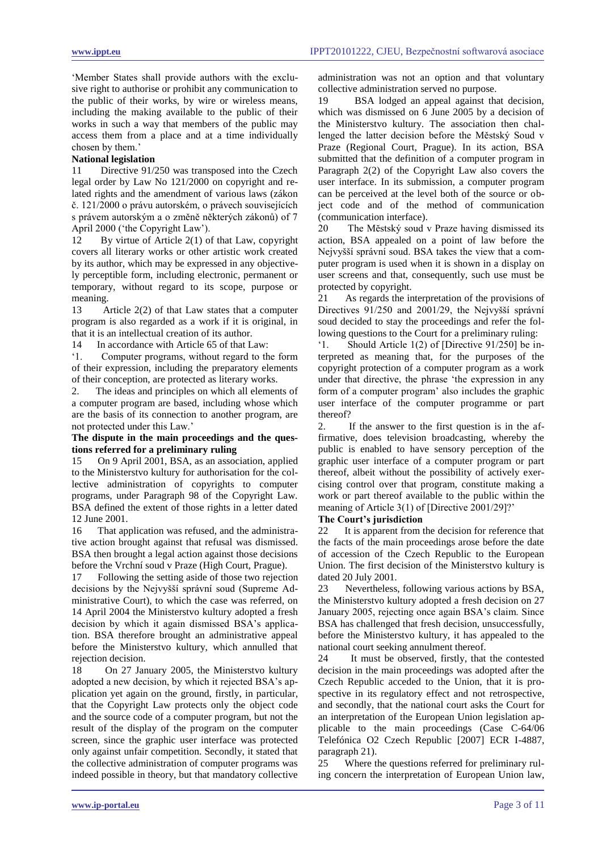'Member States shall provide authors with the exclusive right to authorise or prohibit any communication to the public of their works, by wire or wireless means, including the making available to the public of their works in such a way that members of the public may access them from a place and at a time individually chosen by them.'

# **National legislation**

11 Directive 91/250 was transposed into the Czech legal order by Law No 121/2000 on copyright and related rights and the amendment of various laws (zákon č. 121/2000 o právu autorském, o právech souvisejících s právem autorským a o změně některých zákonů) of 7 April 2000 ('the Copyright Law').

12 By virtue of Article 2(1) of that Law, copyright covers all literary works or other artistic work created by its author, which may be expressed in any objectively perceptible form, including electronic, permanent or temporary, without regard to its scope, purpose or meaning.

13 Article 2(2) of that Law states that a computer program is also regarded as a work if it is original, in that it is an intellectual creation of its author.

14 In accordance with Article 65 of that Law:

'1. Computer programs, without regard to the form of their expression, including the preparatory elements of their conception, are protected as literary works.

2. The ideas and principles on which all elements of a computer program are based, including whose which are the basis of its connection to another program, are not protected under this Law.'

## **The dispute in the main proceedings and the questions referred for a preliminary ruling**

15 On 9 April 2001, BSA, as an association, applied to the Ministerstvo kultury for authorisation for the collective administration of copyrights to computer programs, under Paragraph 98 of the Copyright Law. BSA defined the extent of those rights in a letter dated 12 June 2001.

16 That application was refused, and the administrative action brought against that refusal was dismissed. BSA then brought a legal action against those decisions before the Vrchní soud v Praze (High Court, Prague).

17 Following the setting aside of those two rejection decisions by the Nejvyšší správní soud (Supreme Administrative Court), to which the case was referred, on 14 April 2004 the Ministerstvo kultury adopted a fresh decision by which it again dismissed BSA's application. BSA therefore brought an administrative appeal before the Ministerstvo kultury, which annulled that rejection decision.

18 On 27 January 2005, the Ministerstvo kultury adopted a new decision, by which it rejected BSA's application yet again on the ground, firstly, in particular, that the Copyright Law protects only the object code and the source code of a computer program, but not the result of the display of the program on the computer screen, since the graphic user interface was protected only against unfair competition. Secondly, it stated that the collective administration of computer programs was indeed possible in theory, but that mandatory collective administration was not an option and that voluntary collective administration served no purpose.

19 BSA lodged an appeal against that decision, which was dismissed on 6 June 2005 by a decision of the Ministerstvo kultury. The association then challenged the latter decision before the Městský Soud v Praze (Regional Court, Prague). In its action, BSA submitted that the definition of a computer program in Paragraph 2(2) of the Copyright Law also covers the user interface. In its submission, a computer program can be perceived at the level both of the source or object code and of the method of communication (communication interface).

20 The Mĕstský soud v Praze having dismissed its action, BSA appealed on a point of law before the Nejvyšší správní soud. BSA takes the view that a computer program is used when it is shown in a display on user screens and that, consequently, such use must be protected by copyright.

21 As regards the interpretation of the provisions of Directives 91/250 and 2001/29, the Nejvyšší správní soud decided to stay the proceedings and refer the following questions to the Court for a preliminary ruling:

'1. Should Article 1(2) of [Directive 91/250] be interpreted as meaning that, for the purposes of the copyright protection of a computer program as a work under that directive, the phrase 'the expression in any form of a computer program' also includes the graphic user interface of the computer programme or part thereof?

2. If the answer to the first question is in the affirmative, does television broadcasting, whereby the public is enabled to have sensory perception of the graphic user interface of a computer program or part thereof, albeit without the possibility of actively exercising control over that program, constitute making a work or part thereof available to the public within the meaning of Article 3(1) of [Directive 2001/29]?'

# **The Court's jurisdiction**

22 It is apparent from the decision for reference that the facts of the main proceedings arose before the date of accession of the Czech Republic to the European Union. The first decision of the Ministerstvo kultury is dated 20 July 2001.

23 Nevertheless, following various actions by BSA, the Ministerstvo kultury adopted a fresh decision on 27 January 2005, rejecting once again BSA's claim. Since BSA has challenged that fresh decision, unsuccessfully, before the Ministerstvo kultury, it has appealed to the national court seeking annulment thereof.

24 It must be observed, firstly, that the contested decision in the main proceedings was adopted after the Czech Republic acceded to the Union, that it is prospective in its regulatory effect and not retrospective, and secondly, that the national court asks the Court for an interpretation of the European Union legislation applicable to the main proceedings (Case C-64/06 Telefónica O2 Czech Republic [2007] ECR I-4887, paragraph 21).

25 Where the questions referred for preliminary ruling concern the interpretation of European Union law,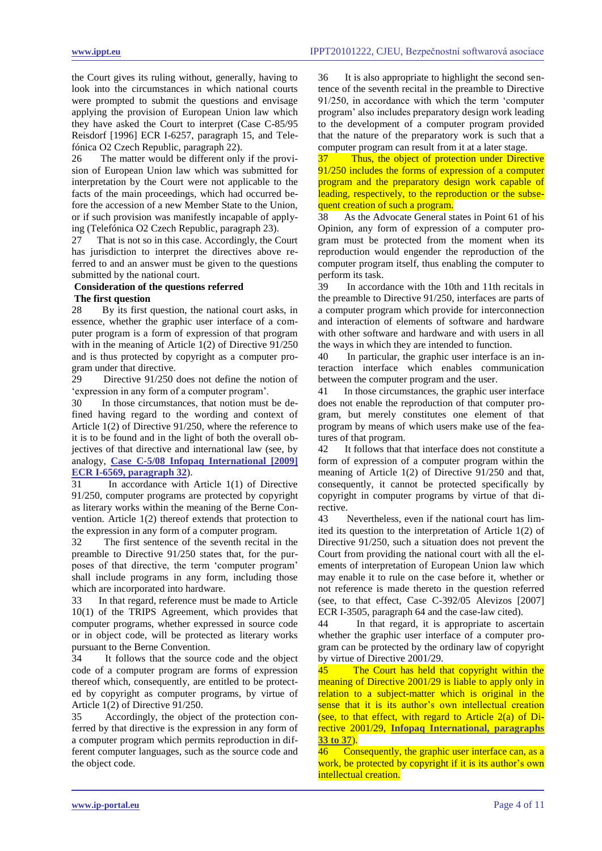the Court gives its ruling without, generally, having to look into the circumstances in which national courts were prompted to submit the questions and envisage applying the provision of European Union law which they have asked the Court to interpret (Case C-85/95 Reisdorf [1996] ECR I-6257, paragraph 15, and Telefónica O2 Czech Republic, paragraph 22).

26 The matter would be different only if the provision of European Union law which was submitted for interpretation by the Court were not applicable to the facts of the main proceedings, which had occurred before the accession of a new Member State to the Union, or if such provision was manifestly incapable of applying (Telefónica O2 Czech Republic, paragraph 23).

27 That is not so in this case. Accordingly, the Court has jurisdiction to interpret the directives above referred to and an answer must be given to the questions submitted by the national court.

#### **Consideration of the questions referred The first question**

28 By its first question, the national court asks, in essence, whether the graphic user interface of a computer program is a form of expression of that program with in the meaning of Article 1(2) of Directive 91/250 and is thus protected by copyright as a computer program under that directive.

29 Directive 91/250 does not define the notion of 'expression in any form of a computer program'.

30 In those circumstances, that notion must be defined having regard to the wording and context of Article 1(2) of Directive 91/250, where the reference to it is to be found and in the light of both the overall objectives of that directive and international law (see, by analogy, **[Case C-5/08 Infopaq International \[2009\]](http://www.ippt.eu/files/2009/IPPT20090716_ECJ_Infopaq_v_DDF.pdf)  [ECR I-6569, paragraph 32](http://www.ippt.eu/files/2009/IPPT20090716_ECJ_Infopaq_v_DDF.pdf)**).

31 In accordance with Article 1(1) of Directive 91/250, computer programs are protected by copyright as literary works within the meaning of the Berne Convention. Article 1(2) thereof extends that protection to the expression in any form of a computer program.

32 The first sentence of the seventh recital in the preamble to Directive 91/250 states that, for the purposes of that directive, the term 'computer program' shall include programs in any form, including those which are incorporated into hardware.

33 In that regard, reference must be made to Article 10(1) of the TRIPS Agreement, which provides that computer programs, whether expressed in source code or in object code, will be protected as literary works pursuant to the Berne Convention.

34 It follows that the source code and the object code of a computer program are forms of expression thereof which, consequently, are entitled to be protected by copyright as computer programs, by virtue of Article 1(2) of Directive 91/250.

35 Accordingly, the object of the protection conferred by that directive is the expression in any form of a computer program which permits reproduction in different computer languages, such as the source code and the object code.

36 It is also appropriate to highlight the second sentence of the seventh recital in the preamble to Directive 91/250, in accordance with which the term 'computer program' also includes preparatory design work leading to the development of a computer program provided that the nature of the preparatory work is such that a computer program can result from it at a later stage.

37 Thus, the object of protection under Directive 91/250 includes the forms of expression of a computer program and the preparatory design work capable of leading, respectively, to the reproduction or the subsequent creation of such a program.

38 As the Advocate General states in Point 61 of his Opinion, any form of expression of a computer program must be protected from the moment when its reproduction would engender the reproduction of the computer program itself, thus enabling the computer to perform its task.

39 In accordance with the 10th and 11th recitals in the preamble to Directive 91/250, interfaces are parts of a computer program which provide for interconnection and interaction of elements of software and hardware with other software and hardware and with users in all the ways in which they are intended to function.

40 In particular, the graphic user interface is an interaction interface which enables communication between the computer program and the user.

41 In those circumstances, the graphic user interface does not enable the reproduction of that computer program, but merely constitutes one element of that program by means of which users make use of the features of that program.

42 It follows that that interface does not constitute a form of expression of a computer program within the meaning of Article 1(2) of Directive 91/250 and that, consequently, it cannot be protected specifically by copyright in computer programs by virtue of that directive.

43 Nevertheless, even if the national court has limited its question to the interpretation of Article 1(2) of Directive 91/250, such a situation does not prevent the Court from providing the national court with all the elements of interpretation of European Union law which may enable it to rule on the case before it, whether or not reference is made thereto in the question referred (see, to that effect, Case C-392/05 Alevizos [2007] ECR I-3505, paragraph 64 and the case-law cited).

In that regard, it is appropriate to ascertain whether the graphic user interface of a computer program can be protected by the ordinary law of copyright by virtue of Directive 2001/29.

45 The Court has held that copyright within the meaning of Directive 2001/29 is liable to apply only in relation to a subject-matter which is original in the sense that it is its author's own intellectual creation (see, to that effect, with regard to Article  $2(a)$  of Directive 2001/29, **[Infopaq International, paragraphs](http://www.ippt.eu/files/2009/IPPT20090716_ECJ_Infopaq_v_DDF.pdf)  [33 to 37](http://www.ippt.eu/files/2009/IPPT20090716_ECJ_Infopaq_v_DDF.pdf)**).

46 Consequently, the graphic user interface can, as a work, be protected by copyright if it is its author's own intellectual creation.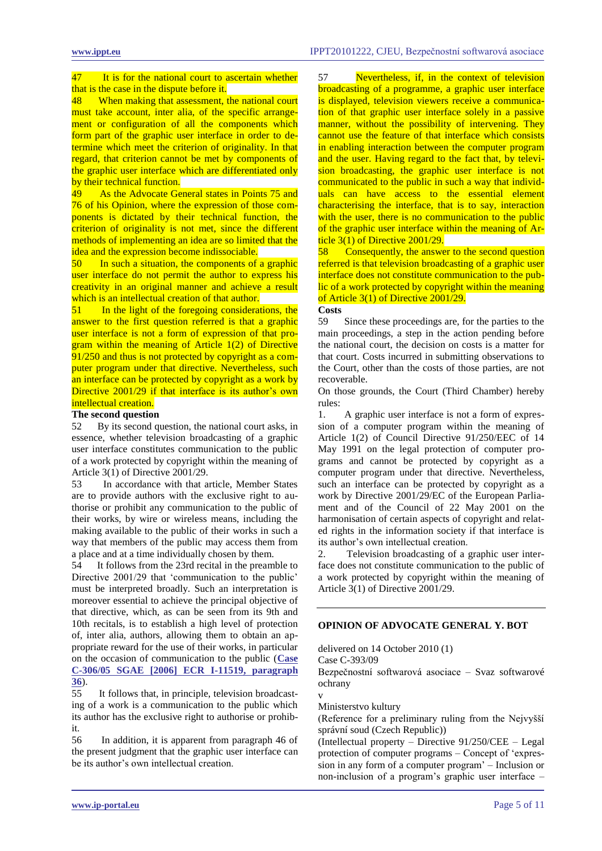<span id="page-4-0"></span>47 It is for the national court to ascertain whether that is the case in the dispute before it.

48 When making that assessment, the national court must take account, inter alia, of the specific arrangement or configuration of all the components which form part of the graphic user interface in order to determine which meet the criterion of originality. In that regard, that criterion cannot be met by components of the graphic user interface which are differentiated only by their technical function.

49 As the Advocate General states in Points 75 and 76 of his Opinion, where the expression of those components is dictated by their technical function, the criterion of originality is not met, since the different methods of implementing an idea are so limited that the idea and the expression become indissociable.

50 In such a situation, the components of a graphic user interface do not permit the author to express his creativity in an original manner and achieve a result which is an intellectual creation of that author.

51 In the light of the foregoing considerations, the answer to the first question referred is that a graphic user interface is not a form of expression of that program within the meaning of Article 1(2) of Directive 91/250 and thus is not protected by copyright as a computer program under that directive. Nevertheless, such an interface can be protected by copyright as a work by Directive 2001/29 if that interface is its author's own intellectual creation.

## **The second question**

52 By its second question, the national court asks, in essence, whether television broadcasting of a graphic user interface constitutes communication to the public of a work protected by copyright within the meaning of Article 3(1) of Directive 2001/29.

53 In accordance with that article, Member States are to provide authors with the exclusive right to authorise or prohibit any communication to the public of their works, by wire or wireless means, including the making available to the public of their works in such a way that members of the public may access them from a place and at a time individually chosen by them.

54 It follows from the 23rd recital in the preamble to Directive 2001/29 that 'communication to the public' must be interpreted broadly. Such an interpretation is moreover essential to achieve the principal objective of that directive, which, as can be seen from its 9th and 10th recitals, is to establish a high level of protection of, inter alia, authors, allowing them to obtain an appropriate reward for the use of their works, in particular on the occasion of communication to the public (**[Case](http://www.ippt.eu/files/2006/IPPT20061207_ECJ_SGAE_v_Rafael_Hoteles.pdf)  [C-306/05 SGAE \[2006\] ECR I-11519, paragraph](http://www.ippt.eu/files/2006/IPPT20061207_ECJ_SGAE_v_Rafael_Hoteles.pdf)  [36](http://www.ippt.eu/files/2006/IPPT20061207_ECJ_SGAE_v_Rafael_Hoteles.pdf)**).

55 It follows that, in principle, television broadcasting of a work is a communication to the public which its author has the exclusive right to authorise or prohibit.

56 In addition, it is apparent from paragraph 46 of the present judgment that the graphic user interface can be its author's own intellectual creation.

57 Nevertheless, if, in the context of television broadcasting of a programme, a graphic user interface is displayed, television viewers receive a communication of that graphic user interface solely in a passive manner, without the possibility of intervening. They cannot use the feature of that interface which consists in enabling interaction between the computer program and the user. Having regard to the fact that, by television broadcasting, the graphic user interface is not communicated to the public in such a way that individuals can have access to the essential element characterising the interface, that is to say, interaction with the user, there is no communication to the public of the graphic user interface within the meaning of Article 3(1) of Directive 2001/29.

58 Consequently, the answer to the second question referred is that television broadcasting of a graphic user interface does not constitute communication to the public of a work protected by copyright within the meaning of Article 3(1) of Directive 2001/29.

## **Costs**

59 Since these proceedings are, for the parties to the main proceedings, a step in the action pending before the national court, the decision on costs is a matter for that court. Costs incurred in submitting observations to the Court, other than the costs of those parties, are not recoverable.

On those grounds, the Court (Third Chamber) hereby rules:

1. A graphic user interface is not a form of expression of a computer program within the meaning of Article 1(2) of Council Directive 91/250/EEC of 14 May 1991 on the legal protection of computer programs and cannot be protected by copyright as a computer program under that directive. Nevertheless, such an interface can be protected by copyright as a work by Directive 2001/29/EC of the European Parliament and of the Council of 22 May 2001 on the harmonisation of certain aspects of copyright and related rights in the information society if that interface is its author's own intellectual creation.

2. Television broadcasting of a graphic user interface does not constitute communication to the public of a work protected by copyright within the meaning of Article 3(1) of Directive 2001/29.

## <span id="page-4-1"></span>**OPINION OF ADVOCATE GENERAL Y. BOT**

delivered on 14 October 2010 (1)

#### Case C-393/09

Bezpečnostní softwarová asociace – Svaz softwarové ochrany

v

## Ministerstvo kultury

(Reference for a preliminary ruling from the Nejvyšší správní soud (Czech Republic))

(Intellectual property – Directive 91/250/CEE – Legal protection of computer programs – Concept of 'expression in any form of a computer program' – Inclusion or non-inclusion of a program's graphic user interface –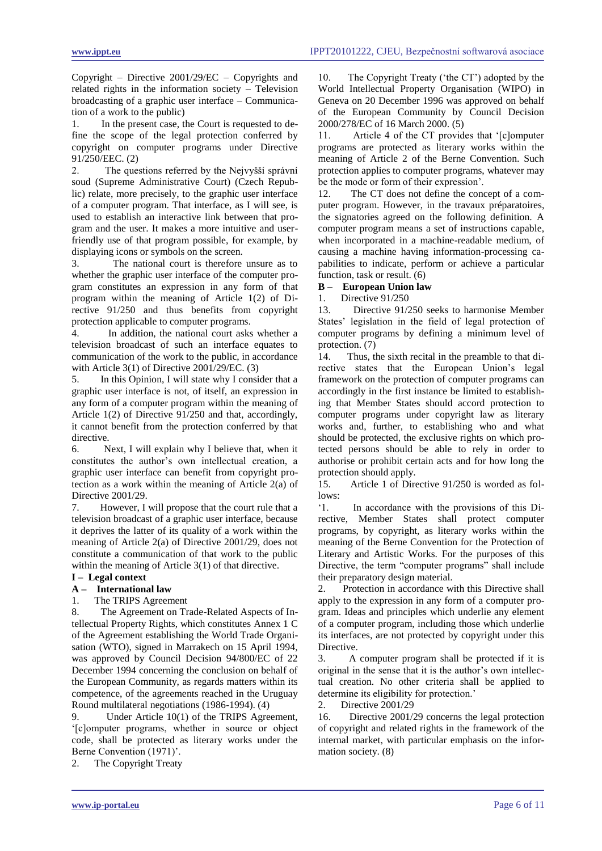Copyright – Directive 2001/29/EC – Copyrights and related rights in the information society – Television broadcasting of a graphic user interface – Communication of a work to the public)

1. In the present case, the Court is requested to define the scope of the legal protection conferred by copyright on computer programs under Directive 91/250/EEC. (2)

2. The questions referred by the Nejvyšší správní soud (Supreme Administrative Court) (Czech Republic) relate, more precisely, to the graphic user interface of a computer program. That interface, as I will see, is used to establish an interactive link between that program and the user. It makes a more intuitive and userfriendly use of that program possible, for example, by displaying icons or symbols on the screen.

3. The national court is therefore unsure as to whether the graphic user interface of the computer program constitutes an expression in any form of that program within the meaning of Article 1(2) of Directive 91/250 and thus benefits from copyright protection applicable to computer programs.

4. In addition, the national court asks whether a television broadcast of such an interface equates to communication of the work to the public, in accordance with Article 3(1) of Directive 2001/29/EC. (3)

5. In this Opinion, I will state why I consider that a graphic user interface is not, of itself, an expression in any form of a computer program within the meaning of Article 1(2) of Directive 91/250 and that, accordingly, it cannot benefit from the protection conferred by that directive.

6. Next, I will explain why I believe that, when it constitutes the author's own intellectual creation, a graphic user interface can benefit from copyright protection as a work within the meaning of Article 2(a) of Directive 2001/29.

7. However, I will propose that the court rule that a television broadcast of a graphic user interface, because it deprives the latter of its quality of a work within the meaning of Article 2(a) of Directive 2001/29, does not constitute a communication of that work to the public within the meaning of Article 3(1) of that directive.

# **I – Legal context**

# **A – International law**

## 1. The TRIPS Agreement

8. The Agreement on Trade-Related Aspects of Intellectual Property Rights, which constitutes Annex 1 C of the Agreement establishing the World Trade Organisation (WTO), signed in Marrakech on 15 April 1994, was approved by Council Decision 94/800/EC of 22 December 1994 concerning the conclusion on behalf of the European Community, as regards matters within its competence, of the agreements reached in the Uruguay Round multilateral negotiations (1986-1994). (4)

9. Under Article 10(1) of the TRIPS Agreement, '[c]omputer programs, whether in source or object code, shall be protected as literary works under the Berne Convention (1971)'.

2. The Copyright Treaty

10. The Copyright Treaty ('the CT') adopted by the World Intellectual Property Organisation (WIPO) in Geneva on 20 December 1996 was approved on behalf of the European Community by Council Decision 2000/278/EC of 16 March 2000. (5)

11. Article 4 of the CT provides that '[c]omputer programs are protected as literary works within the meaning of Article 2 of the Berne Convention. Such protection applies to computer programs, whatever may be the mode or form of their expression'.

12. The CT does not define the concept of a computer program. However, in the travaux préparatoires, the signatories agreed on the following definition. A computer program means a set of instructions capable, when incorporated in a machine-readable medium, of causing a machine having information-processing capabilities to indicate, perform or achieve a particular function, task or result. (6)

## **B – European Union law**

1. Directive 91/250

13. Directive 91/250 seeks to harmonise Member States' legislation in the field of legal protection of computer programs by defining a minimum level of protection. (7)

14. Thus, the sixth recital in the preamble to that directive states that the European Union's legal framework on the protection of computer programs can accordingly in the first instance be limited to establishing that Member States should accord protection to computer programs under copyright law as literary works and, further, to establishing who and what should be protected, the exclusive rights on which protected persons should be able to rely in order to authorise or prohibit certain acts and for how long the protection should apply.

15. Article 1 of Directive 91/250 is worded as follows:

'1. In accordance with the provisions of this Directive, Member States shall protect computer programs, by copyright, as literary works within the meaning of the Berne Convention for the Protection of Literary and Artistic Works. For the purposes of this Directive, the term "computer programs" shall include their preparatory design material.

2. Protection in accordance with this Directive shall apply to the expression in any form of a computer program. Ideas and principles which underlie any element of a computer program, including those which underlie its interfaces, are not protected by copyright under this Directive.

3. A computer program shall be protected if it is original in the sense that it is the author's own intellectual creation. No other criteria shall be applied to determine its eligibility for protection.'

2. Directive 2001/29

16. Directive 2001/29 concerns the legal protection of copyright and related rights in the framework of the internal market, with particular emphasis on the information society. (8)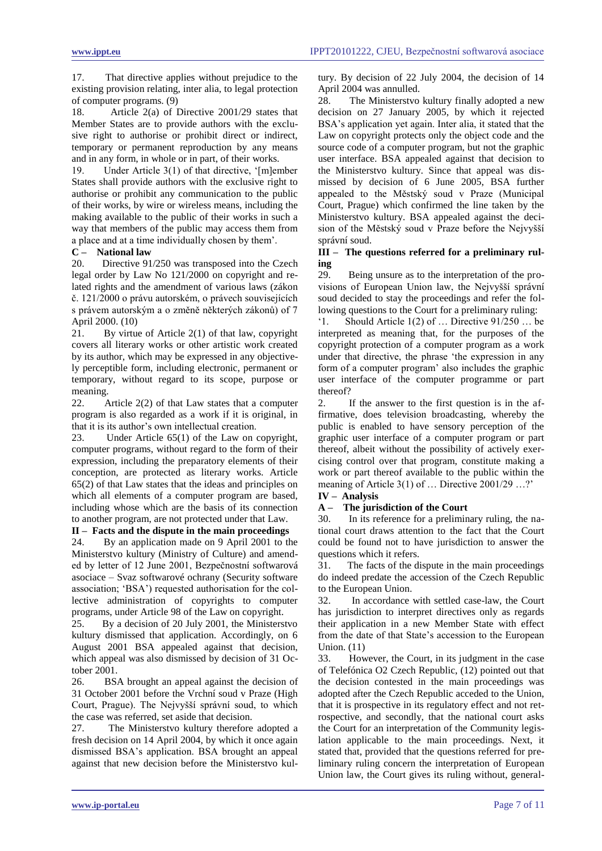17. That directive applies without prejudice to the existing provision relating, inter alia, to legal protection of computer programs. (9)

18. Article 2(a) of Directive 2001/29 states that Member States are to provide authors with the exclusive right to authorise or prohibit direct or indirect, temporary or permanent reproduction by any means and in any form, in whole or in part, of their works.

19. Under Article 3(1) of that directive, '[m]ember States shall provide authors with the exclusive right to authorise or prohibit any communication to the public of their works, by wire or wireless means, including the making available to the public of their works in such a way that members of the public may access them from a place and at a time individually chosen by them'.

# **C – National law**

20. Directive 91/250 was transposed into the Czech legal order by Law No 121/2000 on copyright and related rights and the amendment of various laws (zákon č. 121/2000 o právu autorském, o právech souvisejících s právem autorským a o změně některých zákonů) of 7 April 2000. (10)

21. By virtue of Article 2(1) of that law, copyright covers all literary works or other artistic work created by its author, which may be expressed in any objectively perceptible form, including electronic, permanent or temporary, without regard to its scope, purpose or meaning.

22. Article 2(2) of that Law states that a computer program is also regarded as a work if it is original, in that it is its author's own intellectual creation.

23. Under Article 65(1) of the Law on copyright, computer programs, without regard to the form of their expression, including the preparatory elements of their conception, are protected as literary works. Article 65(2) of that Law states that the ideas and principles on which all elements of a computer program are based, including whose which are the basis of its connection to another program, are not protected under that Law.

#### **II – Facts and the dispute in the main proceedings**

24. By an application made on 9 April 2001 to the Ministerstvo kultury (Ministry of Culture) and amended by letter of 12 June 2001, Bezpečnostní softwarová asociace – Svaz softwarové ochrany (Security software association; 'BSA') requested authorisation for the collective administration of copyrights to computer programs, under Article 98 of the Law on copyright.

25. By a decision of 20 July 2001, the Ministerstvo kultury dismissed that application. Accordingly, on 6 August 2001 BSA appealed against that decision, which appeal was also dismissed by decision of 31 October 2001.

26. BSA brought an appeal against the decision of 31 October 2001 before the Vrchní soud v Praze (High Court, Prague). The Nejvyšší správní soud, to which the case was referred, set aside that decision.

27. The Ministerstvo kultury therefore adopted a fresh decision on 14 April 2004, by which it once again dismissed BSA's application. BSA brought an appeal against that new decision before the Ministerstvo kultury. By decision of 22 July 2004, the decision of 14 April 2004 was annulled.

28. The Ministerstvo kultury finally adopted a new decision on 27 January 2005, by which it rejected BSA's application yet again. Inter alia, it stated that the Law on copyright protects only the object code and the source code of a computer program, but not the graphic user interface. BSA appealed against that decision to the Ministerstvo kultury. Since that appeal was dismissed by decision of 6 June 2005, BSA further appealed to the Městský soud v Praze (Municipal Court, Prague) which confirmed the line taken by the Ministerstvo kultury. BSA appealed against the decision of the Městský soud v Praze before the Nejvyšší správní soud.

## **III – The questions referred for a preliminary ruling**

29. Being unsure as to the interpretation of the provisions of European Union law, the Nejvyšší správní soud decided to stay the proceedings and refer the following questions to the Court for a preliminary ruling:

'1. Should Article 1(2) of … Directive 91/250 … be interpreted as meaning that, for the purposes of the copyright protection of a computer program as a work under that directive, the phrase 'the expression in any form of a computer program' also includes the graphic user interface of the computer programme or part thereof?

2. If the answer to the first question is in the affirmative, does television broadcasting, whereby the public is enabled to have sensory perception of the graphic user interface of a computer program or part thereof, albeit without the possibility of actively exercising control over that program, constitute making a work or part thereof available to the public within the meaning of Article 3(1) of ... Directive 2001/29 ...?'

# **IV – Analysis**

#### **A – The jurisdiction of the Court**

30. In its reference for a preliminary ruling, the national court draws attention to the fact that the Court could be found not to have jurisdiction to answer the questions which it refers.

31. The facts of the dispute in the main proceedings do indeed predate the accession of the Czech Republic to the European Union.

32. In accordance with settled case-law, the Court has jurisdiction to interpret directives only as regards their application in a new Member State with effect from the date of that State's accession to the European Union. (11)

33. However, the Court, in its judgment in the case of Telefónica O2 Czech Republic, (12) pointed out that the decision contested in the main proceedings was adopted after the Czech Republic acceded to the Union, that it is prospective in its regulatory effect and not retrospective, and secondly, that the national court asks the Court for an interpretation of the Community legislation applicable to the main proceedings. Next, it stated that, provided that the questions referred for preliminary ruling concern the interpretation of European Union law, the Court gives its ruling without, general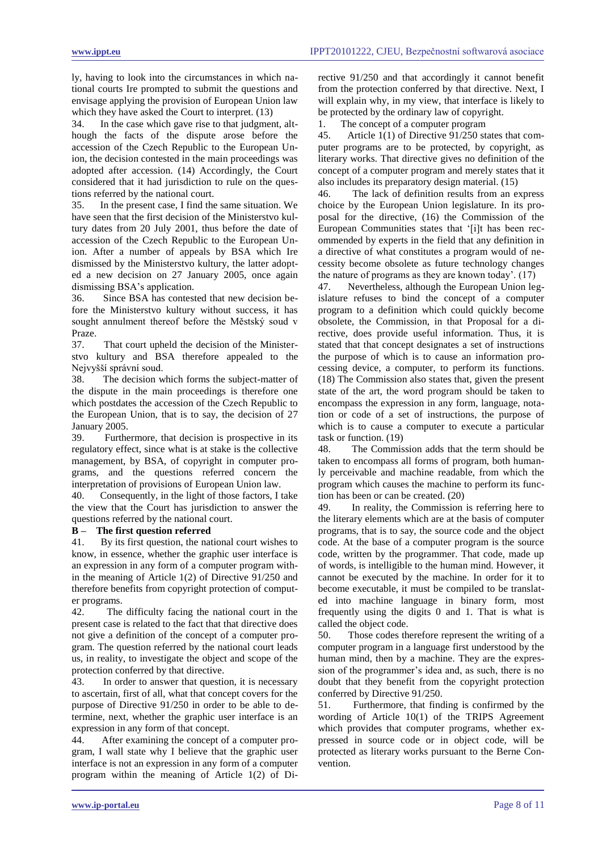ly, having to look into the circumstances in which national courts Ire prompted to submit the questions and envisage applying the provision of European Union law which they have asked the Court to interpret. (13)

34. In the case which gave rise to that judgment, although the facts of the dispute arose before the accession of the Czech Republic to the European Union, the decision contested in the main proceedings was adopted after accession. (14) Accordingly, the Court considered that it had jurisdiction to rule on the questions referred by the national court.

35. In the present case, I find the same situation. We have seen that the first decision of the Ministerstvo kultury dates from 20 July 2001, thus before the date of accession of the Czech Republic to the European Union. After a number of appeals by BSA which Ire dismissed by the Ministerstvo kultury, the latter adopted a new decision on 27 January 2005, once again dismissing BSA's application.

36. Since BSA has contested that new decision before the Ministerstvo kultury without success, it has sought annulment thereof before the Městský soud v

Praze.<br>37. That court upheld the decision of the Ministerstvo kultury and BSA therefore appealed to the Nejvyšší správní soud.

38. The decision which forms the subject-matter of the dispute in the main proceedings is therefore one which postdates the accession of the Czech Republic to the European Union, that is to say, the decision of 27 January 2005.

39. Furthermore, that decision is prospective in its regulatory effect, since what is at stake is the collective management, by BSA, of copyright in computer programs, and the questions referred concern the interpretation of provisions of European Union law.

40. Consequently, in the light of those factors, I take the view that the Court has jurisdiction to answer the questions referred by the national court.

# **B – The first question referred**

41. By its first question, the national court wishes to know, in essence, whether the graphic user interface is an expression in any form of a computer program within the meaning of Article 1(2) of Directive 91/250 and therefore benefits from copyright protection of computer programs.

42. The difficulty facing the national court in the present case is related to the fact that that directive does not give a definition of the concept of a computer program. The question referred by the national court leads us, in reality, to investigate the object and scope of the protection conferred by that directive.

43. In order to answer that question, it is necessary to ascertain, first of all, what that concept covers for the purpose of Directive 91/250 in order to be able to determine, next, whether the graphic user interface is an expression in any form of that concept.

44. After examining the concept of a computer program, I wall state why I believe that the graphic user interface is not an expression in any form of a computer program within the meaning of Article 1(2) of Directive 91/250 and that accordingly it cannot benefit from the protection conferred by that directive. Next, I will explain why, in my view, that interface is likely to be protected by the ordinary law of copyright.

1. The concept of a computer program

45. Article 1(1) of Directive 91/250 states that computer programs are to be protected, by copyright, as literary works. That directive gives no definition of the concept of a computer program and merely states that it also includes its preparatory design material. (15)

46. The lack of definition results from an express choice by the European Union legislature. In its proposal for the directive, (16) the Commission of the European Communities states that '[i]t has been recommended by experts in the field that any definition in a directive of what constitutes a program would of necessity become obsolete as future technology changes the nature of programs as they are known today'. (17)

47. Nevertheless, although the European Union legislature refuses to bind the concept of a computer program to a definition which could quickly become obsolete, the Commission, in that Proposal for a directive, does provide useful information. Thus, it is stated that that concept designates a set of instructions the purpose of which is to cause an information processing device, a computer, to perform its functions. (18) The Commission also states that, given the present state of the art, the word program should be taken to encompass the expression in any form, language, notation or code of a set of instructions, the purpose of which is to cause a computer to execute a particular task or function. (19)

48. The Commission adds that the term should be taken to encompass all forms of program, both humanly perceivable and machine readable, from which the program which causes the machine to perform its function has been or can be created. (20)

49. In reality, the Commission is referring here to the literary elements which are at the basis of computer programs, that is to say, the source code and the object code. At the base of a computer program is the source code, written by the programmer. That code, made up of words, is intelligible to the human mind. However, it cannot be executed by the machine. In order for it to become executable, it must be compiled to be translated into machine language in binary form, most frequently using the digits 0 and 1. That is what is called the object code.

50. Those codes therefore represent the writing of a computer program in a language first understood by the human mind, then by a machine. They are the expression of the programmer's idea and, as such, there is no doubt that they benefit from the copyright protection conferred by Directive 91/250.

51. Furthermore, that finding is confirmed by the wording of Article 10(1) of the TRIPS Agreement which provides that computer programs, whether expressed in source code or in object code, will be protected as literary works pursuant to the Berne Convention.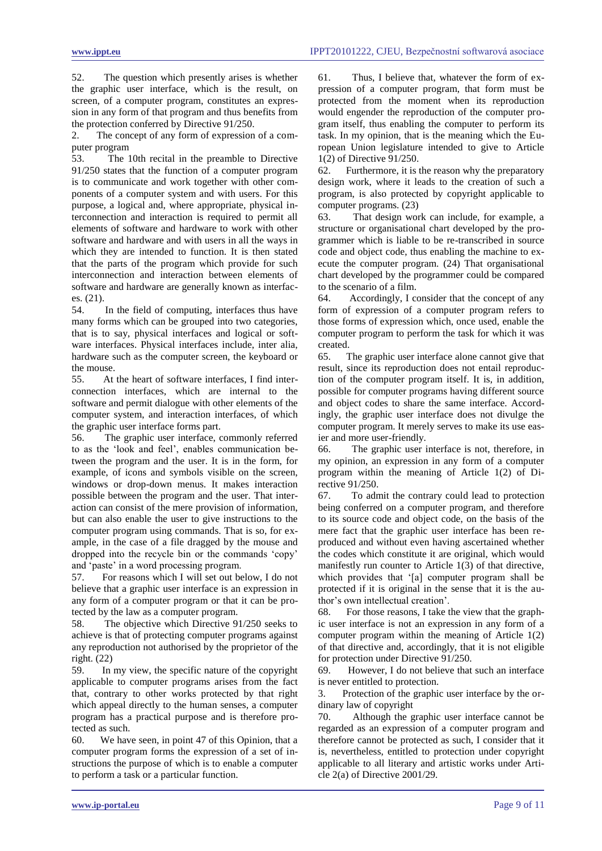52. The question which presently arises is whether the graphic user interface, which is the result, on screen, of a computer program, constitutes an expression in any form of that program and thus benefits from the protection conferred by Directive 91/250.

2. The concept of any form of expression of a computer program

53. The 10th recital in the preamble to Directive 91/250 states that the function of a computer program is to communicate and work together with other components of a computer system and with users. For this purpose, a logical and, where appropriate, physical interconnection and interaction is required to permit all elements of software and hardware to work with other software and hardware and with users in all the ways in which they are intended to function. It is then stated that the parts of the program which provide for such interconnection and interaction between elements of software and hardware are generally known as interfaces. (21).

54. In the field of computing, interfaces thus have many forms which can be grouped into two categories, that is to say, physical interfaces and logical or software interfaces. Physical interfaces include, inter alia, hardware such as the computer screen, the keyboard or the mouse.

55. At the heart of software interfaces, I find interconnection interfaces, which are internal to the software and permit dialogue with other elements of the computer system, and interaction interfaces, of which the graphic user interface forms part.<br>56. The graphic user interface, c

The graphic user interface, commonly referred to as the 'look and feel', enables communication between the program and the user. It is in the form, for example, of icons and symbols visible on the screen, windows or drop-down menus. It makes interaction possible between the program and the user. That interaction can consist of the mere provision of information, but can also enable the user to give instructions to the computer program using commands. That is so, for example, in the case of a file dragged by the mouse and dropped into the recycle bin or the commands 'copy' and 'paste' in a word processing program.

57. For reasons which I will set out below, I do not believe that a graphic user interface is an expression in any form of a computer program or that it can be protected by the law as a computer program.

58. The objective which Directive 91/250 seeks to achieve is that of protecting computer programs against any reproduction not authorised by the proprietor of the right. (22)

59. In my view, the specific nature of the copyright applicable to computer programs arises from the fact that, contrary to other works protected by that right which appeal directly to the human senses, a computer program has a practical purpose and is therefore protected as such.

60. We have seen, in point 47 of this Opinion, that a computer program forms the expression of a set of instructions the purpose of which is to enable a computer to perform a task or a particular function.

61. Thus, I believe that, whatever the form of expression of a computer program, that form must be protected from the moment when its reproduction would engender the reproduction of the computer program itself, thus enabling the computer to perform its task. In my opinion, that is the meaning which the European Union legislature intended to give to Article 1(2) of Directive 91/250.

62. Furthermore, it is the reason why the preparatory design work, where it leads to the creation of such a program, is also protected by copyright applicable to computer programs. (23)

63. That design work can include, for example, a structure or organisational chart developed by the programmer which is liable to be re-transcribed in source code and object code, thus enabling the machine to execute the computer program. (24) That organisational chart developed by the programmer could be compared to the scenario of a film.

64. Accordingly, I consider that the concept of any form of expression of a computer program refers to those forms of expression which, once used, enable the computer program to perform the task for which it was created.

65. The graphic user interface alone cannot give that result, since its reproduction does not entail reproduction of the computer program itself. It is, in addition, possible for computer programs having different source and object codes to share the same interface. Accordingly, the graphic user interface does not divulge the computer program. It merely serves to make its use easier and more user-friendly.

66. The graphic user interface is not, therefore, in my opinion, an expression in any form of a computer program within the meaning of Article 1(2) of Directive 91/250.

67. To admit the contrary could lead to protection being conferred on a computer program, and therefore to its source code and object code, on the basis of the mere fact that the graphic user interface has been reproduced and without even having ascertained whether the codes which constitute it are original, which would manifestly run counter to Article 1(3) of that directive, which provides that '[a] computer program shall be protected if it is original in the sense that it is the author's own intellectual creation'.

68. For those reasons, I take the view that the graphic user interface is not an expression in any form of a computer program within the meaning of Article 1(2) of that directive and, accordingly, that it is not eligible for protection under Directive 91/250.

69. However, I do not believe that such an interface is never entitled to protection.

3. Protection of the graphic user interface by the ordinary law of copyright

70. Although the graphic user interface cannot be regarded as an expression of a computer program and therefore cannot be protected as such, I consider that it is, nevertheless, entitled to protection under copyright applicable to all literary and artistic works under Article 2(a) of Directive 2001/29.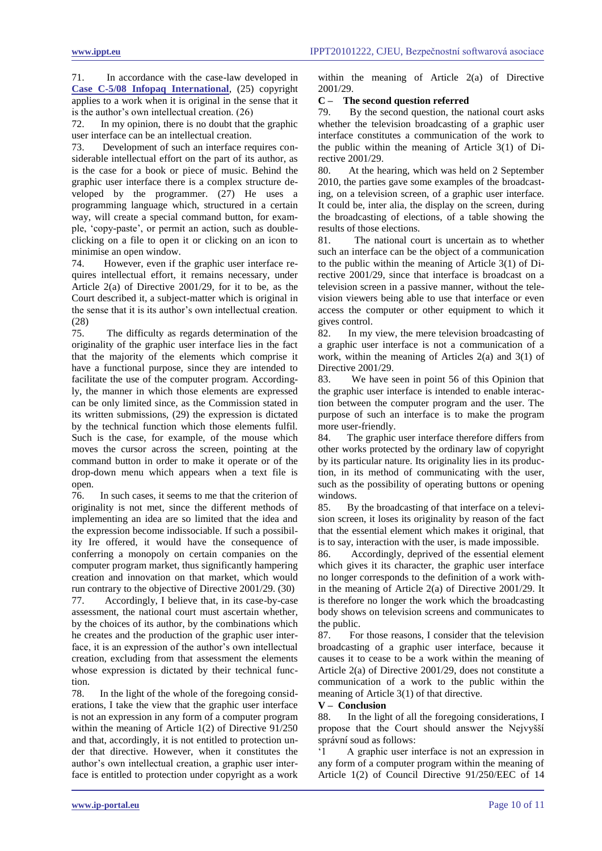71. In accordance with the case-law developed in **[Case C-5/08 Infopaq International](http://www.ippt.eu/files/2009/IPPT20090716_ECJ_Infopaq_v_DDF.pdf)**, (25) copyright applies to a work when it is original in the sense that it is the author's own intellectual creation. (26)

72. In my opinion, there is no doubt that the graphic user interface can be an intellectual creation.

73. Development of such an interface requires considerable intellectual effort on the part of its author, as is the case for a book or piece of music. Behind the graphic user interface there is a complex structure developed by the programmer. (27) He uses a programming language which, structured in a certain way, will create a special command button, for example, 'copy-paste', or permit an action, such as doubleclicking on a file to open it or clicking on an icon to minimise an open window.

74. However, even if the graphic user interface requires intellectual effort, it remains necessary, under Article 2(a) of Directive 2001/29, for it to be, as the Court described it, a subject-matter which is original in the sense that it is its author's own intellectual creation. (28)

75. The difficulty as regards determination of the originality of the graphic user interface lies in the fact that the majority of the elements which comprise it have a functional purpose, since they are intended to facilitate the use of the computer program. Accordingly, the manner in which those elements are expressed can be only limited since, as the Commission stated in its written submissions, (29) the expression is dictated by the technical function which those elements fulfil. Such is the case, for example, of the mouse which moves the cursor across the screen, pointing at the command button in order to make it operate or of the drop-down menu which appears when a text file is open.

76. In such cases, it seems to me that the criterion of originality is not met, since the different methods of implementing an idea are so limited that the idea and the expression become indissociable. If such a possibility Ire offered, it would have the consequence of conferring a monopoly on certain companies on the computer program market, thus significantly hampering creation and innovation on that market, which would run contrary to the objective of Directive 2001/29. (30) 77. Accordingly, I believe that, in its case-by-case assessment, the national court must ascertain whether, by the choices of its author, by the combinations which he creates and the production of the graphic user interface, it is an expression of the author's own intellectual creation, excluding from that assessment the elements whose expression is dictated by their technical function.

78. In the light of the whole of the foregoing considerations, I take the view that the graphic user interface is not an expression in any form of a computer program within the meaning of Article 1(2) of Directive 91/250 and that, accordingly, it is not entitled to protection under that directive. However, when it constitutes the author's own intellectual creation, a graphic user interface is entitled to protection under copyright as a work within the meaning of Article 2(a) of Directive 2001/29.

#### **C – The second question referred**

79. By the second question, the national court asks whether the television broadcasting of a graphic user interface constitutes a communication of the work to the public within the meaning of Article 3(1) of Directive 2001/29.

80. At the hearing, which was held on 2 September 2010, the parties gave some examples of the broadcasting, on a television screen, of a graphic user interface. It could be, inter alia, the display on the screen, during the broadcasting of elections, of a table showing the results of those elections.

81. The national court is uncertain as to whether such an interface can be the object of a communication to the public within the meaning of Article 3(1) of Directive 2001/29, since that interface is broadcast on a television screen in a passive manner, without the television viewers being able to use that interface or even access the computer or other equipment to which it gives control.

82. In my view, the mere television broadcasting of a graphic user interface is not a communication of a work, within the meaning of Articles 2(a) and 3(1) of Directive 2001/29.

83. We have seen in point 56 of this Opinion that the graphic user interface is intended to enable interaction between the computer program and the user. The purpose of such an interface is to make the program more user-friendly.

84. The graphic user interface therefore differs from other works protected by the ordinary law of copyright by its particular nature. Its originality lies in its production, in its method of communicating with the user, such as the possibility of operating buttons or opening windows.

85. By the broadcasting of that interface on a television screen, it loses its originality by reason of the fact that the essential element which makes it original, that is to say, interaction with the user, is made impossible.

86. Accordingly, deprived of the essential element which gives it its character, the graphic user interface no longer corresponds to the definition of a work within the meaning of Article 2(a) of Directive 2001/29. It is therefore no longer the work which the broadcasting body shows on television screens and communicates to the public.

87. For those reasons, I consider that the television broadcasting of a graphic user interface, because it causes it to cease to be a work within the meaning of Article 2(a) of Directive 2001/29, does not constitute a communication of a work to the public within the meaning of Article 3(1) of that directive.

#### **V – Conclusion**

88. In the light of all the foregoing considerations, I propose that the Court should answer the Nejvyšší správní soud as follows:

'1 A graphic user interface is not an expression in any form of a computer program within the meaning of Article 1(2) of Council Directive 91/250/EEC of 14